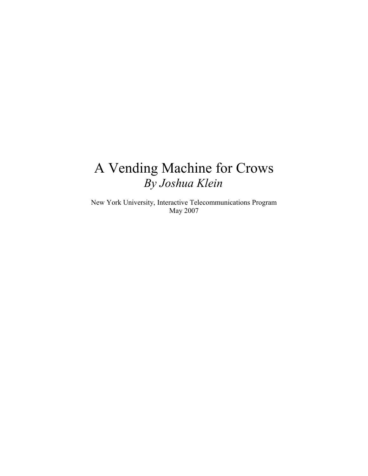# A Vending Machine for Crows *By Joshua Klein*

New York University, Interactive Telecommunications Program May 2007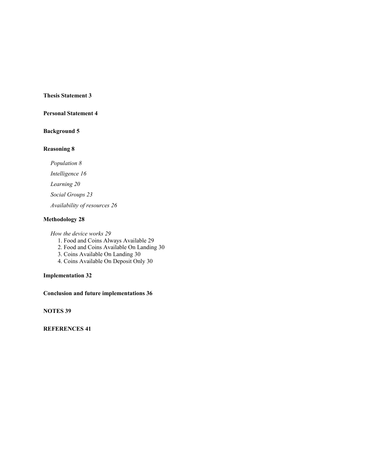#### **Thesis Statement [3](#page-2-0)**

#### **Personal Statement [4](#page-3-0)**

#### **Background [5](#page-4-0)**

#### **Reasoning [8](#page-7-1)**

*Population [8](#page-7-0) Intelligence [16](#page-15-0) Learning [20](#page-19-0) Social Groups [23](#page-22-0) Availability of resources [26](#page-25-0)*

#### **Methodology [28](#page-27-0)**

*How the device works [29](#page-28-1)*

- 1. Food and Coins Always Available [29](#page-28-0)
- 2. Food and Coins Available On Landing [30](#page-29-2)
- 3. Coins Available On Landing [30](#page-29-1)
- 4. Coins Available On Deposit Only [30](#page-29-0)

#### **Implementation [32](#page-31-0)**

**Conclusion and future implementations [36](#page-35-0)**

**NOTES [39](#page-38-0)**

**REFERENCES [41](#page-40-0)**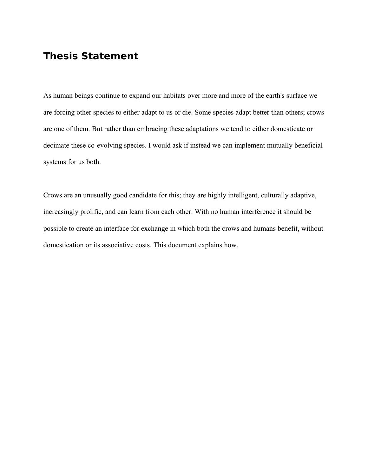# <span id="page-2-0"></span>**Thesis Statement**

As human beings continue to expand our habitats over more and more of the earth's surface we are forcing other species to either adapt to us or die. Some species adapt better than others; crows are one of them. But rather than embracing these adaptations we tend to either domesticate or decimate these co-evolving species. I would ask if instead we can implement mutually beneficial systems for us both.

Crows are an unusually good candidate for this; they are highly intelligent, culturally adaptive, increasingly prolific, and can learn from each other. With no human interference it should be possible to create an interface for exchange in which both the crows and humans benefit, without domestication or its associative costs. This document explains how.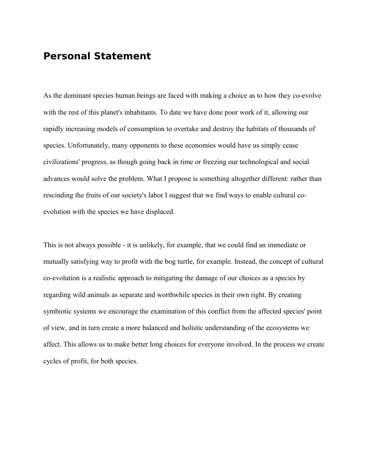# <span id="page-3-0"></span>**Personal Statement**

As the dominant species human beings are faced with making a choice as to how they co-evolve with the rest of this planet's inhabitants. To date we have done poor work of it, allowing our rapidly increasing models of consumption to overtake and destroy the habitats of thousands of species. Unfortunately, many opponents to these economies would have us simply cease civilizations' progress, as though going back in time or freezing our technological and social advances would solve the problem. What I propose is something altogether different: rather than rescinding the fruits of our society's labor I suggest that we find ways to enable cultural coevolution with the species we have displaced.

This is not always possible - it is unlikely, for example, that we could find an immediate or mutually satisfying way to profit with the bog turtle, for example. Instead, the concept of cultural co-evolution is a realistic approach to mitigating the damage of our choices as a species by regarding wild animals as separate and worthwhile species in their own right. By creating symbiotic systems we encourage the examination of this conflict from the affected species' point of view, and in turn create a more balanced and holistic understanding of the ecosystems we affect. This allows us to make better long choices for everyone involved. In the process we create cycles of profit, for both species.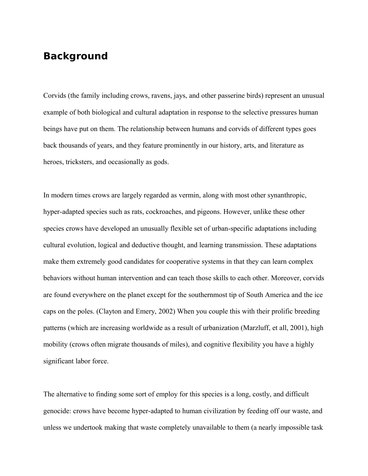# <span id="page-4-0"></span>**Background**

Corvids (the family including crows, ravens, jays, and other passerine birds) represent an unusual example of both biological and cultural adaptation in response to the selective pressures human beings have put on them. The relationship between humans and corvids of different types goes back thousands of years, and they feature prominently in our history, arts, and literature as heroes, tricksters, and occasionally as gods.

In modern times crows are largely regarded as vermin, along with most other synanthropic, hyper-adapted species such as rats, cockroaches, and pigeons. However, unlike these other species crows have developed an unusually flexible set of urban-specific adaptations including cultural evolution, logical and deductive thought, and learning transmission. These adaptations make them extremely good candidates for cooperative systems in that they can learn complex behaviors without human intervention and can teach those skills to each other. Moreover, corvids are found everywhere on the planet except for the southernmost tip of South America and the ice caps on the poles. (Clayton and Emery, 2002) When you couple this with their prolific breeding patterns (which are increasing worldwide as a result of urbanization (Marzluff, et all, 2001), high mobility (crows often migrate thousands of miles), and cognitive flexibility you have a highly significant labor force.

The alternative to finding some sort of employ for this species is a long, costly, and difficult genocide: crows have become hyper-adapted to human civilization by feeding off our waste, and unless we undertook making that waste completely unavailable to them (a nearly impossible task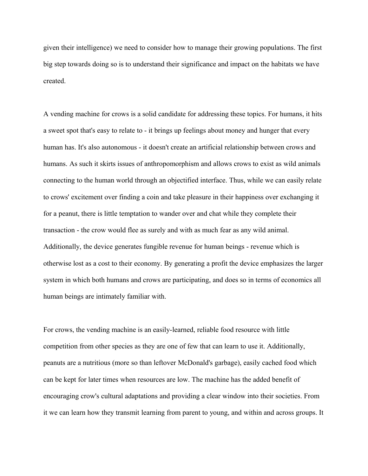given their intelligence) we need to consider how to manage their growing populations. The first big step towards doing so is to understand their significance and impact on the habitats we have created.

A vending machine for crows is a solid candidate for addressing these topics. For humans, it hits a sweet spot that's easy to relate to - it brings up feelings about money and hunger that every human has. It's also autonomous - it doesn't create an artificial relationship between crows and humans. As such it skirts issues of anthropomorphism and allows crows to exist as wild animals connecting to the human world through an objectified interface. Thus, while we can easily relate to crows' excitement over finding a coin and take pleasure in their happiness over exchanging it for a peanut, there is little temptation to wander over and chat while they complete their transaction - the crow would flee as surely and with as much fear as any wild animal. Additionally, the device generates fungible revenue for human beings - revenue which is otherwise lost as a cost to their economy. By generating a profit the device emphasizes the larger system in which both humans and crows are participating, and does so in terms of economics all human beings are intimately familiar with.

For crows, the vending machine is an easily-learned, reliable food resource with little competition from other species as they are one of few that can learn to use it. Additionally, peanuts are a nutritious (more so than leftover McDonald's garbage), easily cached food which can be kept for later times when resources are low. The machine has the added benefit of encouraging crow's cultural adaptations and providing a clear window into their societies. From it we can learn how they transmit learning from parent to young, and within and across groups. It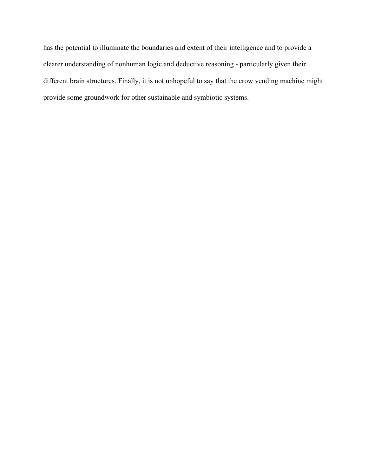has the potential to illuminate the boundaries and extent of their intelligence and to provide a clearer understanding of nonhuman logic and deductive reasoning - particularly given their different brain structures. Finally, it is not unhopeful to say that the crow vending machine might provide some groundwork for other sustainable and symbiotic systems.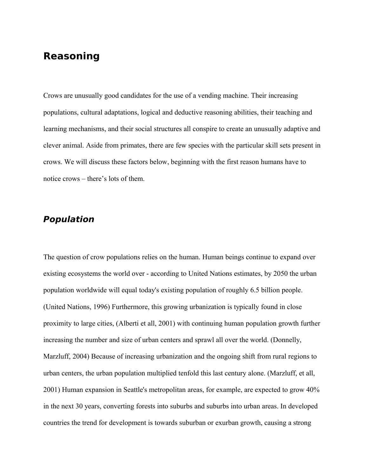# <span id="page-7-1"></span>**Reasoning**

Crows are unusually good candidates for the use of a vending machine. Their increasing populations, cultural adaptations, logical and deductive reasoning abilities, their teaching and learning mechanisms, and their social structures all conspire to create an unusually adaptive and clever animal. Aside from primates, there are few species with the particular skill sets present in crows. We will discuss these factors below, beginning with the first reason humans have to notice crows – there's lots of them.

# <span id="page-7-0"></span>**Population**

The question of crow populations relies on the human. Human beings continue to expand over existing ecosystems the world over - according to United Nations estimates, by 2050 the urban population worldwide will equal today's existing population of roughly 6.5 billion people. (United Nations, 1996) Furthermore, this growing urbanization is typically found in close proximity to large cities, (Alberti et all, 2001) with continuing human population growth further increasing the number and size of urban centers and sprawl all over the world. (Donnelly, Marzluff, 2004) Because of increasing urbanization and the ongoing shift from rural regions to urban centers, the urban population multiplied tenfold this last century alone. (Marzluff, et all, 2001) Human expansion in Seattle's metropolitan areas, for example, are expected to grow 40% in the next 30 years, converting forests into suburbs and suburbs into urban areas. In developed countries the trend for development is towards suburban or exurban growth, causing a strong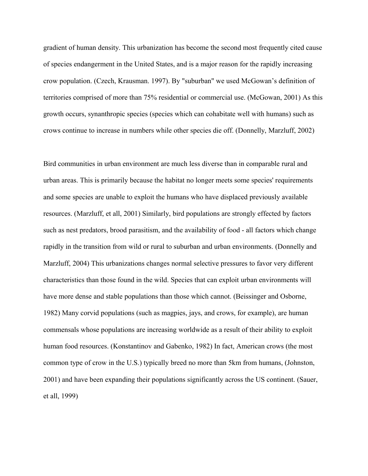gradient of human density. This urbanization has become the second most frequently cited cause of species endangerment in the United States, and is a major reason for the rapidly increasing crow population. (Czech, Krausman. 1997). By "suburban" we used McGowan's definition of territories comprised of more than 75% residential or commercial use. (McGowan, 2001) As this growth occurs, synanthropic species (species which can cohabitate well with humans) such as crows continue to increase in numbers while other species die off. (Donnelly, Marzluff, 2002)

Bird communities in urban environment are much less diverse than in comparable rural and urban areas. This is primarily because the habitat no longer meets some species' requirements and some species are unable to exploit the humans who have displaced previously available resources. (Marzluff, et all, 2001) Similarly, bird populations are strongly effected by factors such as nest predators, brood parasitism, and the availability of food - all factors which change rapidly in the transition from wild or rural to suburban and urban environments. (Donnelly and Marzluff, 2004) This urbanizations changes normal selective pressures to favor very different characteristics than those found in the wild. Species that can exploit urban environments will have more dense and stable populations than those which cannot. (Beissinger and Osborne, 1982) Many corvid populations (such as magpies, jays, and crows, for example), are human commensals whose populations are increasing worldwide as a result of their ability to exploit human food resources. (Konstantinov and Gabenko, 1982) In fact, American crows (the most common type of crow in the U.S.) typically breed no more than 5km from humans, (Johnston, 2001) and have been expanding their populations significantly across the US continent. (Sauer, et all, 1999)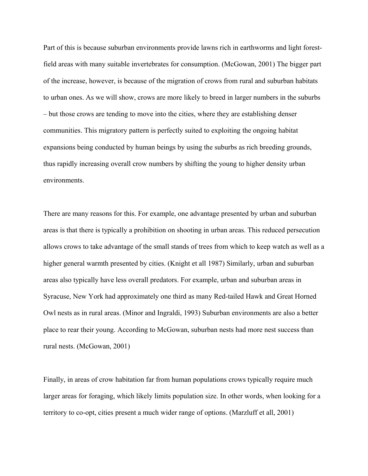Part of this is because suburban environments provide lawns rich in earthworms and light forestfield areas with many suitable invertebrates for consumption. (McGowan, 2001) The bigger part of the increase, however, is because of the migration of crows from rural and suburban habitats to urban ones. As we will show, crows are more likely to breed in larger numbers in the suburbs – but those crows are tending to move into the cities, where they are establishing denser communities. This migratory pattern is perfectly suited to exploiting the ongoing habitat expansions being conducted by human beings by using the suburbs as rich breeding grounds, thus rapidly increasing overall crow numbers by shifting the young to higher density urban environments.

There are many reasons for this. For example, one advantage presented by urban and suburban areas is that there is typically a prohibition on shooting in urban areas. This reduced persecution allows crows to take advantage of the small stands of trees from which to keep watch as well as a higher general warmth presented by cities. (Knight et all 1987) Similarly, urban and suburban areas also typically have less overall predators. For example, urban and suburban areas in Syracuse, New York had approximately one third as many Red-tailed Hawk and Great Horned Owl nests as in rural areas. (Minor and Ingraldi, 1993) Suburban environments are also a better place to rear their young. According to McGowan, suburban nests had more nest success than rural nests. (McGowan, 2001)

Finally, in areas of crow habitation far from human populations crows typically require much larger areas for foraging, which likely limits population size. In other words, when looking for a territory to co-opt, cities present a much wider range of options. (Marzluff et all, 2001)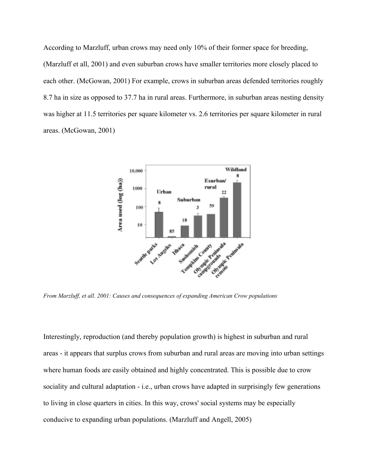According to Marzluff, urban crows may need only 10% of their former space for breeding, (Marzluff et all, 2001) and even suburban crows have smaller territories more closely placed to each other. (McGowan, 2001) For example, crows in suburban areas defended territories roughly 8.7 ha in size as opposed to 37.7 ha in rural areas. Furthermore, in suburban areas nesting density was higher at 11.5 territories per square kilometer vs. 2.6 territories per square kilometer in rural areas. (McGowan, 2001)



*From Marzluff, et all. 2001: Causes and consequences of expanding American Crow populations*

Interestingly, reproduction (and thereby population growth) is highest in suburban and rural areas - it appears that surplus crows from suburban and rural areas are moving into urban settings where human foods are easily obtained and highly concentrated. This is possible due to crow sociality and cultural adaptation - i.e., urban crows have adapted in surprisingly few generations to living in close quarters in cities. In this way, crows' social systems may be especially conducive to expanding urban populations. (Marzluff and Angell, 2005)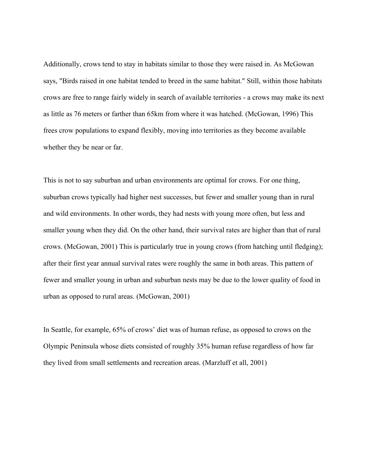Additionally, crows tend to stay in habitats similar to those they were raised in. As McGowan says, "Birds raised in one habitat tended to breed in the same habitat." Still, within those habitats crows are free to range fairly widely in search of available territories - a crows may make its next as little as 76 meters or farther than 65km from where it was hatched. (McGowan, 1996) This frees crow populations to expand flexibly, moving into territories as they become available whether they be near or far.

This is not to say suburban and urban environments are optimal for crows. For one thing, suburban crows typically had higher nest successes, but fewer and smaller young than in rural and wild environments. In other words, they had nests with young more often, but less and smaller young when they did. On the other hand, their survival rates are higher than that of rural crows. (McGowan, 2001) This is particularly true in young crows (from hatching until fledging); after their first year annual survival rates were roughly the same in both areas. This pattern of fewer and smaller young in urban and suburban nests may be due to the lower quality of food in urban as opposed to rural areas. (McGowan, 2001)

In Seattle, for example, 65% of crows' diet was of human refuse, as opposed to crows on the Olympic Peninsula whose diets consisted of roughly 35% human refuse regardless of how far they lived from small settlements and recreation areas. (Marzluff et all, 2001)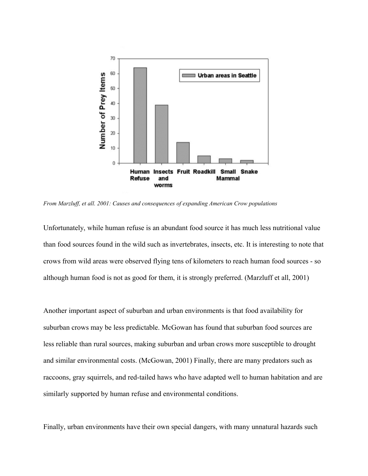

*From Marzluff, et all. 2001: Causes and consequences of expanding American Crow populations*

Unfortunately, while human refuse is an abundant food source it has much less nutritional value than food sources found in the wild such as invertebrates, insects, etc. It is interesting to note that crows from wild areas were observed flying tens of kilometers to reach human food sources - so although human food is not as good for them, it is strongly preferred. (Marzluff et all, 2001)

Another important aspect of suburban and urban environments is that food availability for suburban crows may be less predictable. McGowan has found that suburban food sources are less reliable than rural sources, making suburban and urban crows more susceptible to drought and similar environmental costs. (McGowan, 2001) Finally, there are many predators such as raccoons, gray squirrels, and red-tailed haws who have adapted well to human habitation and are similarly supported by human refuse and environmental conditions.

Finally, urban environments have their own special dangers, with many unnatural hazards such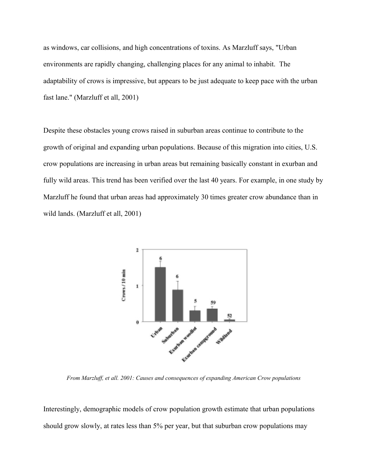as windows, car collisions, and high concentrations of toxins. As Marzluff says, "Urban environments are rapidly changing, challenging places for any animal to inhabit. The adaptability of crows is impressive, but appears to be just adequate to keep pace with the urban fast lane." (Marzluff et all, 2001)

Despite these obstacles young crows raised in suburban areas continue to contribute to the growth of original and expanding urban populations. Because of this migration into cities, U.S. crow populations are increasing in urban areas but remaining basically constant in exurban and fully wild areas. This trend has been verified over the last 40 years. For example, in one study by Marzluff he found that urban areas had approximately 30 times greater crow abundance than in wild lands. (Marzluff et all, 2001)



*From Marzluff, et all. 2001: Causes and consequences of expanding American Crow populations*

Interestingly, demographic models of crow population growth estimate that urban populations should grow slowly, at rates less than 5% per year, but that suburban crow populations may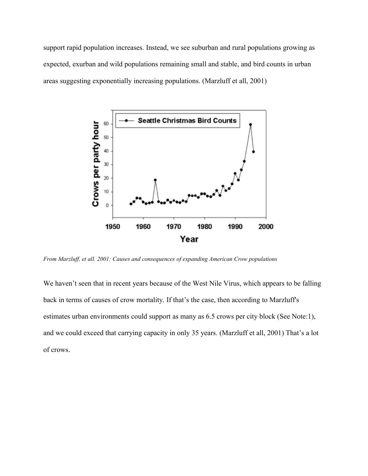support rapid population increases. Instead, we see suburban and rural populations growing as expected, exurban and wild populations remaining small and stable, and bird counts in urban areas suggesting exponentially increasing populations. (Marzluff et all, 2001)



*From Marzluff, et all. 2001: Causes and consequences of expanding American Crow populations*

We haven't seen that in recent years because of the West Nile Virus, which appears to be falling back in terms of causes of crow mortality. If that's the case, then according to Marzluff's estimates urban environments could support as many as 6.5 crows per city block (See Note:1), and we could exceed that carrying capacity in only 35 years. (Marzluff et all, 2001) That's a lot of crows.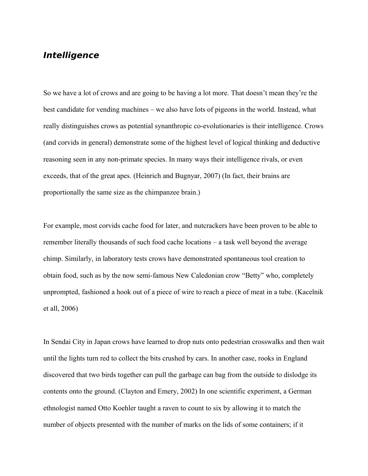# <span id="page-15-0"></span>**Intelligence**

So we have a lot of crows and are going to be having a lot more. That doesn't mean they're the best candidate for vending machines – we also have lots of pigeons in the world. Instead, what really distinguishes crows as potential synanthropic co-evolutionaries is their intelligence. Crows (and corvids in general) demonstrate some of the highest level of logical thinking and deductive reasoning seen in any non-primate species. In many ways their intelligence rivals, or even exceeds, that of the great apes. (Heinrich and Bugnyar, 2007) (In fact, their brains are proportionally the same size as the chimpanzee brain.)

For example, most corvids cache food for later, and nutcrackers have been proven to be able to remember literally thousands of such food cache locations – a task well beyond the average chimp. Similarly, in laboratory tests crows have demonstrated spontaneous tool creation to obtain food, such as by the now semi-famous New Caledonian crow "Betty" who, completely unprompted, fashioned a hook out of a piece of wire to reach a piece of meat in a tube. (Kacelnik et all, 2006)

In Sendai City in Japan crows have learned to drop nuts onto pedestrian crosswalks and then wait until the lights turn red to collect the bits crushed by cars. In another case, rooks in England discovered that two birds together can pull the garbage can bag from the outside to dislodge its contents onto the ground. (Clayton and Emery, 2002) In one scientific experiment, a German ethnologist named Otto Koehler taught a raven to count to six by allowing it to match the number of objects presented with the number of marks on the lids of some containers; if it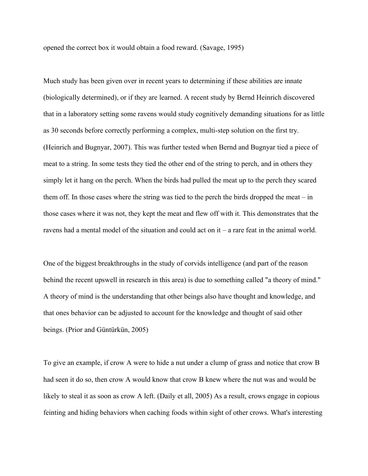opened the correct box it would obtain a food reward. (Savage, 1995)

Much study has been given over in recent years to determining if these abilities are innate (biologically determined), or if they are learned. A recent study by Bernd Heinrich discovered that in a laboratory setting some ravens would study cognitively demanding situations for as little as 30 seconds before correctly performing a complex, multi-step solution on the first try. (Heinrich and Bugnyar, 2007). This was further tested when Bernd and Bugnyar tied a piece of meat to a string. In some tests they tied the other end of the string to perch, and in others they simply let it hang on the perch. When the birds had pulled the meat up to the perch they scared them off. In those cases where the string was tied to the perch the birds dropped the meat – in those cases where it was not, they kept the meat and flew off with it. This demonstrates that the ravens had a mental model of the situation and could act on it – a rare feat in the animal world.

One of the biggest breakthroughs in the study of corvids intelligence (and part of the reason behind the recent upswell in research in this area) is due to something called "a theory of mind." A theory of mind is the understanding that other beings also have thought and knowledge, and that ones behavior can be adjusted to account for the knowledge and thought of said other beings. (Prior and Güntürkün, 2005)

To give an example, if crow A were to hide a nut under a clump of grass and notice that crow B had seen it do so, then crow A would know that crow B knew where the nut was and would be likely to steal it as soon as crow A left. (Daily et all, 2005) As a result, crows engage in copious feinting and hiding behaviors when caching foods within sight of other crows. What's interesting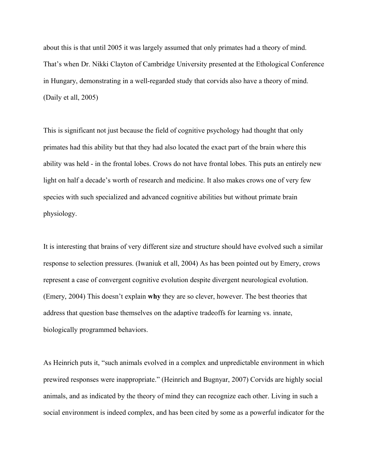about this is that until 2005 it was largely assumed that only primates had a theory of mind. That's when Dr. Nikki Clayton of Cambridge University presented at the Ethological Conference in Hungary, demonstrating in a well-regarded study that corvids also have a theory of mind. (Daily et all, 2005)

This is significant not just because the field of cognitive psychology had thought that only primates had this ability but that they had also located the exact part of the brain where this ability was held - in the frontal lobes. Crows do not have frontal lobes. This puts an entirely new light on half a decade's worth of research and medicine. It also makes crows one of very few species with such specialized and advanced cognitive abilities but without primate brain physiology.

It is interesting that brains of very different size and structure should have evolved such a similar response to selection pressures. (Iwaniuk et all, 2004) As has been pointed out by Emery, crows represent a case of convergent cognitive evolution despite divergent neurological evolution. (Emery, 2004) This doesn't explain **why** they are so clever, however. The best theories that address that question base themselves on the adaptive tradeoffs for learning vs. innate, biologically programmed behaviors.

As Heinrich puts it, "such animals evolved in a complex and unpredictable environment in which prewired responses were inappropriate." (Heinrich and Bugnyar, 2007) Corvids are highly social animals, and as indicated by the theory of mind they can recognize each other. Living in such a social environment is indeed complex, and has been cited by some as a powerful indicator for the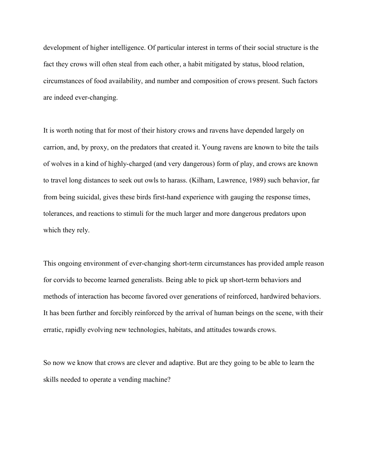development of higher intelligence. Of particular interest in terms of their social structure is the fact they crows will often steal from each other, a habit mitigated by status, blood relation, circumstances of food availability, and number and composition of crows present. Such factors are indeed ever-changing.

It is worth noting that for most of their history crows and ravens have depended largely on carrion, and, by proxy, on the predators that created it. Young ravens are known to bite the tails of wolves in a kind of highly-charged (and very dangerous) form of play, and crows are known to travel long distances to seek out owls to harass. (Kilham, Lawrence, 1989) such behavior, far from being suicidal, gives these birds first-hand experience with gauging the response times, tolerances, and reactions to stimuli for the much larger and more dangerous predators upon which they rely.

This ongoing environment of ever-changing short-term circumstances has provided ample reason for corvids to become learned generalists. Being able to pick up short-term behaviors and methods of interaction has become favored over generations of reinforced, hardwired behaviors. It has been further and forcibly reinforced by the arrival of human beings on the scene, with their erratic, rapidly evolving new technologies, habitats, and attitudes towards crows.

So now we know that crows are clever and adaptive. But are they going to be able to learn the skills needed to operate a vending machine?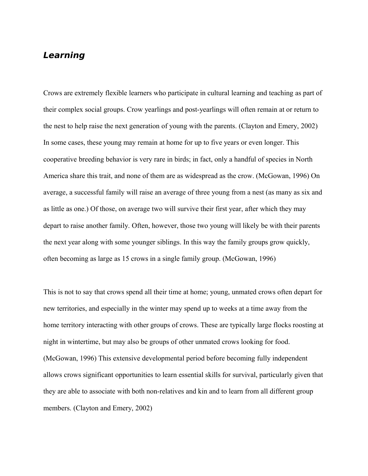# <span id="page-19-0"></span>**Learning**

Crows are extremely flexible learners who participate in cultural learning and teaching as part of their complex social groups. Crow yearlings and post-yearlings will often remain at or return to the nest to help raise the next generation of young with the parents. (Clayton and Emery, 2002) In some cases, these young may remain at home for up to five years or even longer. This cooperative breeding behavior is very rare in birds; in fact, only a handful of species in North America share this trait, and none of them are as widespread as the crow. (McGowan, 1996) On average, a successful family will raise an average of three young from a nest (as many as six and as little as one.) Of those, on average two will survive their first year, after which they may depart to raise another family. Often, however, those two young will likely be with their parents the next year along with some younger siblings. In this way the family groups grow quickly, often becoming as large as 15 crows in a single family group. (McGowan, 1996)

This is not to say that crows spend all their time at home; young, unmated crows often depart for new territories, and especially in the winter may spend up to weeks at a time away from the home territory interacting with other groups of crows. These are typically large flocks roosting at night in wintertime, but may also be groups of other unmated crows looking for food. (McGowan, 1996) This extensive developmental period before becoming fully independent allows crows significant opportunities to learn essential skills for survival, particularly given that they are able to associate with both non-relatives and kin and to learn from all different group members. (Clayton and Emery, 2002)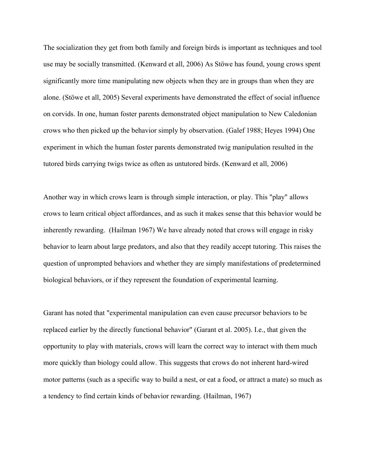The socialization they get from both family and foreign birds is important as techniques and tool use may be socially transmitted. (Kenward et all, 2006) As Stöwe has found, young crows spent significantly more time manipulating new objects when they are in groups than when they are alone. (Stöwe et all, 2005) Several experiments have demonstrated the effect of social influence on corvids. In one, human foster parents demonstrated object manipulation to New Caledonian crows who then picked up the behavior simply by observation. (Galef 1988; Heyes 1994) One experiment in which the human foster parents demonstrated twig manipulation resulted in the tutored birds carrying twigs twice as often as untutored birds. (Kenward et all, 2006)

Another way in which crows learn is through simple interaction, or play. This "play" allows crows to learn critical object affordances, and as such it makes sense that this behavior would be inherently rewarding. (Hailman 1967) We have already noted that crows will engage in risky behavior to learn about large predators, and also that they readily accept tutoring. This raises the question of unprompted behaviors and whether they are simply manifestations of predetermined biological behaviors, or if they represent the foundation of experimental learning.

Garant has noted that "experimental manipulation can even cause precursor behaviors to be replaced earlier by the directly functional behavior" (Garant et al. 2005). I.e., that given the opportunity to play with materials, crows will learn the correct way to interact with them much more quickly than biology could allow. This suggests that crows do not inherent hard-wired motor patterns (such as a specific way to build a nest, or eat a food, or attract a mate) so much as a tendency to find certain kinds of behavior rewarding. (Hailman, 1967)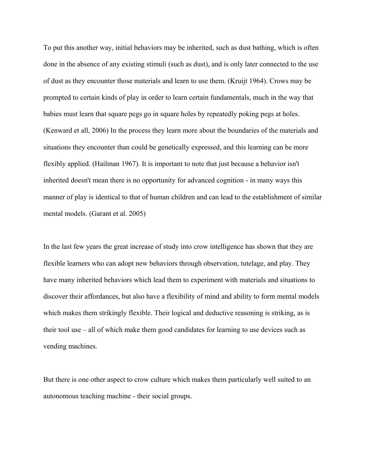To put this another way, initial behaviors may be inherited, such as dust bathing, which is often done in the absence of any existing stimuli (such as dust), and is only later connected to the use of dust as they encounter those materials and learn to use them. (Kruijt 1964). Crows may be prompted to certain kinds of play in order to learn certain fundamentals, much in the way that babies must learn that square pegs go in square holes by repeatedly poking pegs at holes. (Kenward et all, 2006) In the process they learn more about the boundaries of the materials and situations they encounter than could be genetically expressed, and this learning can be more flexibly applied. (Hailman 1967). It is important to note that just because a behavior isn't inherited doesn't mean there is no opportunity for advanced cognition - in many ways this manner of play is identical to that of human children and can lead to the establishment of similar mental models. (Garant et al. 2005)

In the last few years the great increase of study into crow intelligence has shown that they are flexible learners who can adopt new behaviors through observation, tutelage, and play. They have many inherited behaviors which lead them to experiment with materials and situations to discover their affordances, but also have a flexibility of mind and ability to form mental models which makes them strikingly flexible. Their logical and deductive reasoning is striking, as is their tool use – all of which make them good candidates for learning to use devices such as vending machines.

But there is one other aspect to crow culture which makes them particularly well suited to an autonomous teaching machine - their social groups.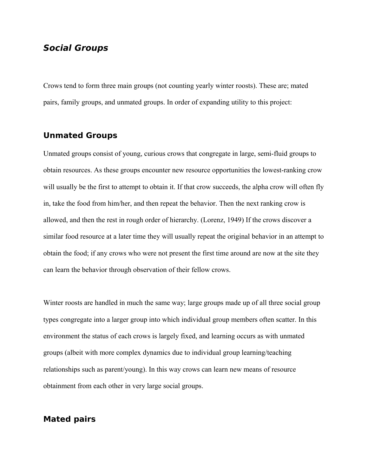## <span id="page-22-0"></span>**Social Groups**

Crows tend to form three main groups (not counting yearly winter roosts). These are; mated pairs, family groups, and unmated groups. In order of expanding utility to this project:

### **Unmated Groups**

Unmated groups consist of young, curious crows that congregate in large, semi-fluid groups to obtain resources. As these groups encounter new resource opportunities the lowest-ranking crow will usually be the first to attempt to obtain it. If that crow succeeds, the alpha crow will often fly in, take the food from him/her, and then repeat the behavior. Then the next ranking crow is allowed, and then the rest in rough order of hierarchy. (Lorenz, 1949) If the crows discover a similar food resource at a later time they will usually repeat the original behavior in an attempt to obtain the food; if any crows who were not present the first time around are now at the site they can learn the behavior through observation of their fellow crows.

Winter roosts are handled in much the same way; large groups made up of all three social group types congregate into a larger group into which individual group members often scatter. In this environment the status of each crows is largely fixed, and learning occurs as with unmated groups (albeit with more complex dynamics due to individual group learning/teaching relationships such as parent/young). In this way crows can learn new means of resource obtainment from each other in very large social groups.

# **Mated pairs**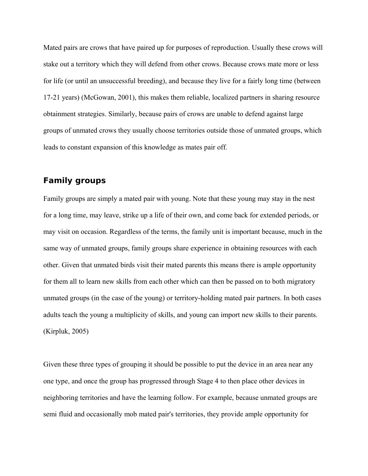Mated pairs are crows that have paired up for purposes of reproduction. Usually these crows will stake out a territory which they will defend from other crows. Because crows mate more or less for life (or until an unsuccessful breeding), and because they live for a fairly long time (between 17-21 years) (McGowan, 2001), this makes them reliable, localized partners in sharing resource obtainment strategies. Similarly, because pairs of crows are unable to defend against large groups of unmated crows they usually choose territories outside those of unmated groups, which leads to constant expansion of this knowledge as mates pair off.

## **Family groups**

Family groups are simply a mated pair with young. Note that these young may stay in the nest for a long time, may leave, strike up a life of their own, and come back for extended periods, or may visit on occasion. Regardless of the terms, the family unit is important because, much in the same way of unmated groups, family groups share experience in obtaining resources with each other. Given that unmated birds visit their mated parents this means there is ample opportunity for them all to learn new skills from each other which can then be passed on to both migratory unmated groups (in the case of the young) or territory-holding mated pair partners. In both cases adults teach the young a multiplicity of skills, and young can import new skills to their parents. (Kirpluk, 2005)

Given these three types of grouping it should be possible to put the device in an area near any one type, and once the group has progressed through Stage 4 to then place other devices in neighboring territories and have the learning follow. For example, because unmated groups are semi fluid and occasionally mob mated pair's territories, they provide ample opportunity for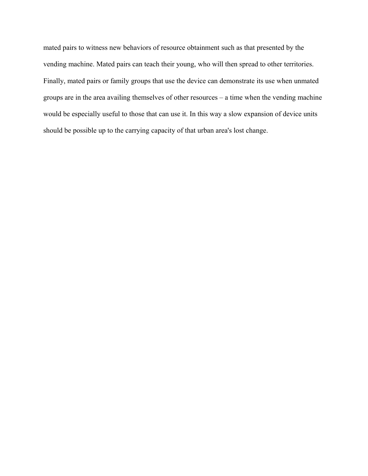mated pairs to witness new behaviors of resource obtainment such as that presented by the vending machine. Mated pairs can teach their young, who will then spread to other territories. Finally, mated pairs or family groups that use the device can demonstrate its use when unmated groups are in the area availing themselves of other resources – a time when the vending machine would be especially useful to those that can use it. In this way a slow expansion of device units should be possible up to the carrying capacity of that urban area's lost change.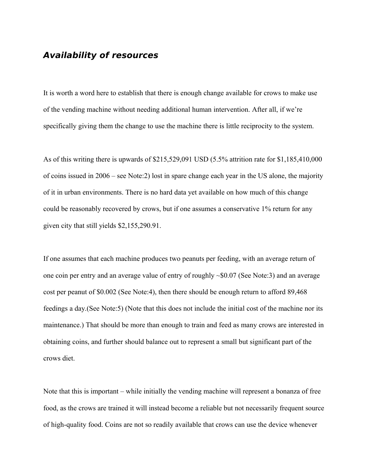## <span id="page-25-0"></span>**Availability of resources**

It is worth a word here to establish that there is enough change available for crows to make use of the vending machine without needing additional human intervention. After all, if we're specifically giving them the change to use the machine there is little reciprocity to the system.

As of this writing there is upwards of \$215,529,091 USD (5.5% attrition rate for \$1,185,410,000 of coins issued in 2006 – see Note:2) lost in spare change each year in the US alone, the majority of it in urban environments. There is no hard data yet available on how much of this change could be reasonably recovered by crows, but if one assumes a conservative 1% return for any given city that still yields \$2,155,290.91.

If one assumes that each machine produces two peanuts per feeding, with an average return of one coin per entry and an average value of entry of roughly ~\$0.07 (See Note:3) and an average cost per peanut of \$0.002 (See Note:4), then there should be enough return to afford 89,468 feedings a day.(See Note:5) (Note that this does not include the initial cost of the machine nor its maintenance.) That should be more than enough to train and feed as many crows are interested in obtaining coins, and further should balance out to represent a small but significant part of the crows diet.

Note that this is important – while initially the vending machine will represent a bonanza of free food, as the crows are trained it will instead become a reliable but not necessarily frequent source of high-quality food. Coins are not so readily available that crows can use the device whenever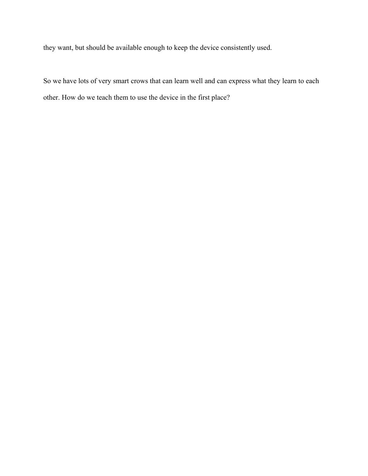they want, but should be available enough to keep the device consistently used.

So we have lots of very smart crows that can learn well and can express what they learn to each other. How do we teach them to use the device in the first place?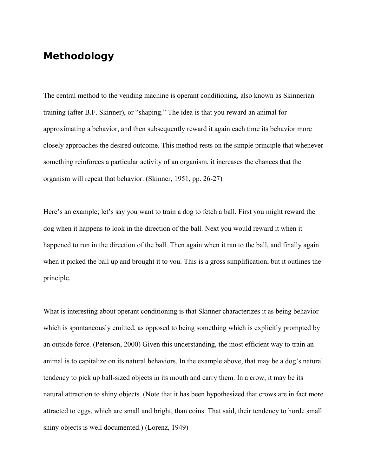# <span id="page-27-0"></span>**Methodology**

The central method to the vending machine is operant conditioning, also known as Skinnerian training (after B.F. Skinner), or "shaping." The idea is that you reward an animal for approximating a behavior, and then subsequently reward it again each time its behavior more closely approaches the desired outcome. This method rests on the simple principle that whenever something reinforces a particular activity of an organism, it increases the chances that the organism will repeat that behavior. (Skinner, 1951, pp. 26-27)

Here's an example; let's say you want to train a dog to fetch a ball. First you might reward the dog when it happens to look in the direction of the ball. Next you would reward it when it happened to run in the direction of the ball. Then again when it ran to the ball, and finally again when it picked the ball up and brought it to you. This is a gross simplification, but it outlines the principle.

What is interesting about operant conditioning is that Skinner characterizes it as being behavior which is spontaneously emitted, as opposed to being something which is explicitly prompted by an outside force. (Peterson, 2000) Given this understanding, the most efficient way to train an animal is to capitalize on its natural behaviors. In the example above, that may be a dog's natural tendency to pick up ball-sized objects in its mouth and carry them. In a crow, it may be its natural attraction to shiny objects. (Note that it has been hypothesized that crows are in fact more attracted to eggs, which are small and bright, than coins. That said, their tendency to horde small shiny objects is well documented.) (Lorenz, 1949)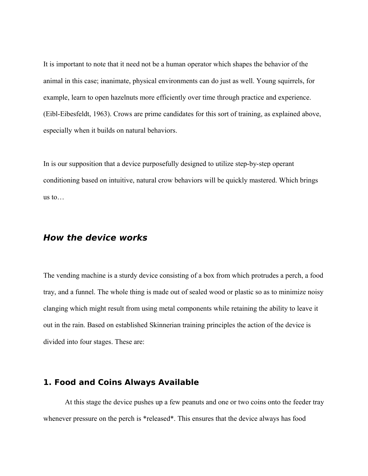It is important to note that it need not be a human operator which shapes the behavior of the animal in this case; inanimate, physical environments can do just as well. Young squirrels, for example, learn to open hazelnuts more efficiently over time through practice and experience. (Eibl-Eibesfeldt, 1963). Crows are prime candidates for this sort of training, as explained above, especially when it builds on natural behaviors.

In is our supposition that a device purposefully designed to utilize step-by-step operant conditioning based on intuitive, natural crow behaviors will be quickly mastered. Which brings us to…

## <span id="page-28-1"></span>**How the device works**

The vending machine is a sturdy device consisting of a box from which protrudes a perch, a food tray, and a funnel. The whole thing is made out of sealed wood or plastic so as to minimize noisy clanging which might result from using metal components while retaining the ability to leave it out in the rain. Based on established Skinnerian training principles the action of the device is divided into four stages. These are:

### <span id="page-28-0"></span>**1. Food and Coins Always Available**

At this stage the device pushes up a few peanuts and one or two coins onto the feeder tray whenever pressure on the perch is \*released\*. This ensures that the device always has food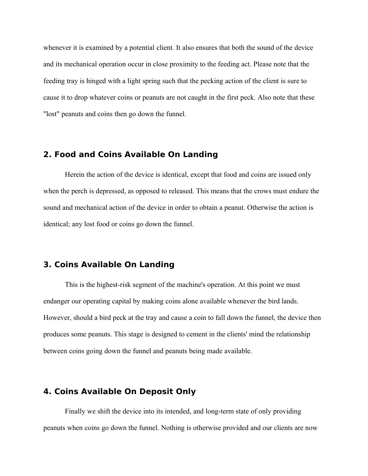whenever it is examined by a potential client. It also ensures that both the sound of the device and its mechanical operation occur in close proximity to the feeding act. Please note that the feeding tray is hinged with a light spring such that the pecking action of the client is sure to cause it to drop whatever coins or peanuts are not caught in the first peck. Also note that these "lost" peanuts and coins then go down the funnel.

### <span id="page-29-2"></span>**2. Food and Coins Available On Landing**

Herein the action of the device is identical, except that food and coins are issued only when the perch is depressed, as opposed to released. This means that the crows must endure the sound and mechanical action of the device in order to obtain a peanut. Otherwise the action is identical; any lost food or coins go down the funnel.

### <span id="page-29-1"></span>**3. Coins Available On Landing**

This is the highest-risk segment of the machine's operation. At this point we must endanger our operating capital by making coins alone available whenever the bird lands. However, should a bird peck at the tray and cause a coin to fall down the funnel, the device then produces some peanuts. This stage is designed to cement in the clients' mind the relationship between coins going down the funnel and peanuts being made available.

# <span id="page-29-0"></span>**4. Coins Available On Deposit Only**

Finally we shift the device into its intended, and long-term state of only providing peanuts when coins go down the funnel. Nothing is otherwise provided and our clients are now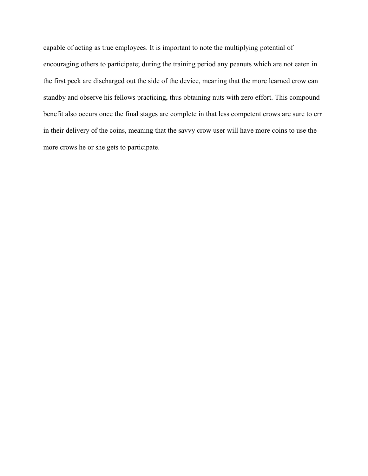capable of acting as true employees. It is important to note the multiplying potential of encouraging others to participate; during the training period any peanuts which are not eaten in the first peck are discharged out the side of the device, meaning that the more learned crow can standby and observe his fellows practicing, thus obtaining nuts with zero effort. This compound benefit also occurs once the final stages are complete in that less competent crows are sure to err in their delivery of the coins, meaning that the savvy crow user will have more coins to use the more crows he or she gets to participate.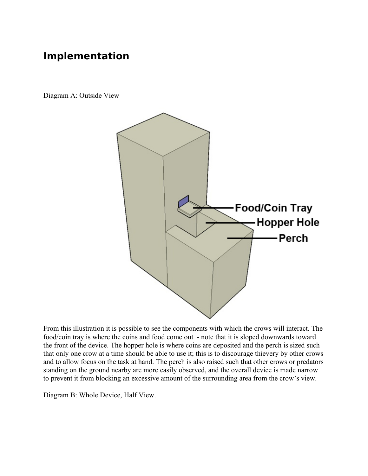# <span id="page-31-0"></span>**Implementation**

Diagram A: Outside View



From this illustration it is possible to see the components with which the crows will interact. The food/coin tray is where the coins and food come out - note that it is sloped downwards toward the front of the device. The hopper hole is where coins are deposited and the perch is sized such that only one crow at a time should be able to use it; this is to discourage thievery by other crows and to allow focus on the task at hand. The perch is also raised such that other crows or predators standing on the ground nearby are more easily observed, and the overall device is made narrow to prevent it from blocking an excessive amount of the surrounding area from the crow's view.

Diagram B: Whole Device, Half View.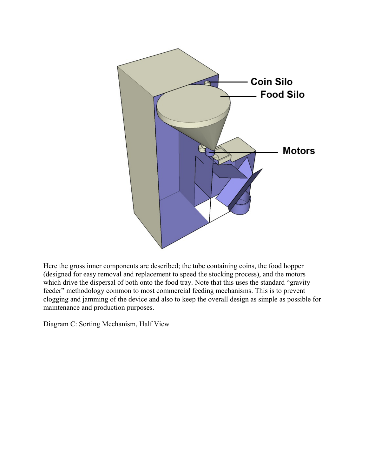

Here the gross inner components are described; the tube containing coins, the food hopper (designed for easy removal and replacement to speed the stocking process), and the motors which drive the dispersal of both onto the food tray. Note that this uses the standard "gravity" feeder" methodology common to most commercial feeding mechanisms. This is to prevent clogging and jamming of the device and also to keep the overall design as simple as possible for maintenance and production purposes.

Diagram C: Sorting Mechanism, Half View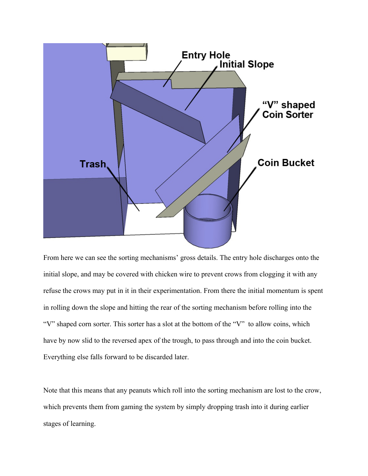

From here we can see the sorting mechanisms' gross details. The entry hole discharges onto the initial slope, and may be covered with chicken wire to prevent crows from clogging it with any refuse the crows may put in it in their experimentation. From there the initial momentum is spent in rolling down the slope and hitting the rear of the sorting mechanism before rolling into the "V" shaped corn sorter. This sorter has a slot at the bottom of the "V" to allow coins, which have by now slid to the reversed apex of the trough, to pass through and into the coin bucket. Everything else falls forward to be discarded later.

Note that this means that any peanuts which roll into the sorting mechanism are lost to the crow, which prevents them from gaming the system by simply dropping trash into it during earlier stages of learning.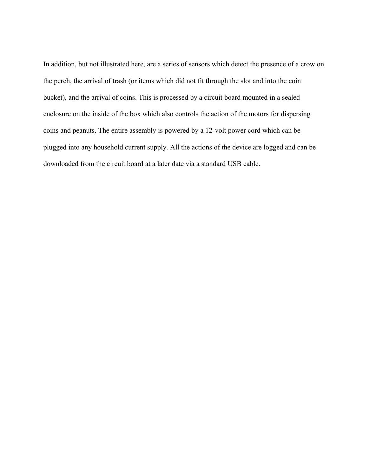In addition, but not illustrated here, are a series of sensors which detect the presence of a crow on the perch, the arrival of trash (or items which did not fit through the slot and into the coin bucket), and the arrival of coins. This is processed by a circuit board mounted in a sealed enclosure on the inside of the box which also controls the action of the motors for dispersing coins and peanuts. The entire assembly is powered by a 12-volt power cord which can be plugged into any household current supply. All the actions of the device are logged and can be downloaded from the circuit board at a later date via a standard USB cable.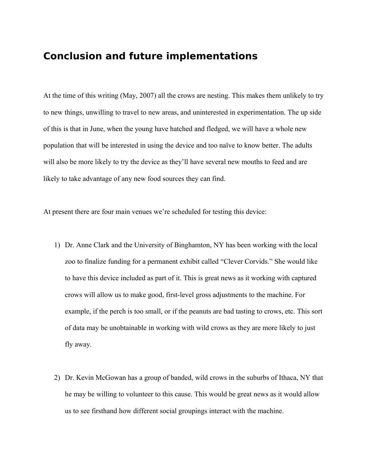# <span id="page-35-0"></span>**Conclusion and future implementations**

At the time of this writing (May, 2007) all the crows are nesting. This makes them unlikely to try to new things, unwilling to travel to new areas, and uninterested in experimentation. The up side of this is that in June, when the young have hatched and fledged, we will have a whole new population that will be interested in using the device and too naïve to know better. The adults will also be more likely to try the device as they'll have several new mouths to feed and are likely to take advantage of any new food sources they can find.

At present there are four main venues we're scheduled for testing this device:

- 1) Dr. Anne Clark and the University of Binghamton, NY has been working with the local zoo to finalize funding for a permanent exhibit called "Clever Corvids." She would like to have this device included as part of it. This is great news as it working with captured crows will allow us to make good, first-level gross adjustments to the machine. For example, if the perch is too small, or if the peanuts are bad tasting to crows, etc. This sort of data may be unobtainable in working with wild crows as they are more likely to just fly away.
- 2) Dr. Kevin McGowan has a group of banded, wild crows in the suburbs of Ithaca, NY that he may be willing to volunteer to this cause. This would be great news as it would allow us to see firsthand how different social groupings interact with the machine.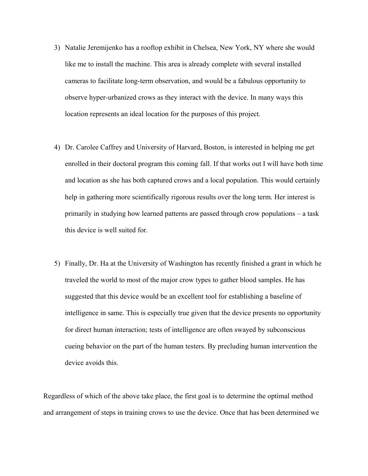- 3) Natalie Jeremijenko has a rooftop exhibit in Chelsea, New York, NY where she would like me to install the machine. This area is already complete with several installed cameras to facilitate long-term observation, and would be a fabulous opportunity to observe hyper-urbanized crows as they interact with the device. In many ways this location represents an ideal location for the purposes of this project.
- 4) Dr. Carolee Caffrey and University of Harvard, Boston, is interested in helping me get enrolled in their doctoral program this coming fall. If that works out I will have both time and location as she has both captured crows and a local population. This would certainly help in gathering more scientifically rigorous results over the long term. Her interest is primarily in studying how learned patterns are passed through crow populations – a task this device is well suited for.
- 5) Finally, Dr. Ha at the University of Washington has recently finished a grant in which he traveled the world to most of the major crow types to gather blood samples. He has suggested that this device would be an excellent tool for establishing a baseline of intelligence in same. This is especially true given that the device presents no opportunity for direct human interaction; tests of intelligence are often swayed by subconscious cueing behavior on the part of the human testers. By precluding human intervention the device avoids this.

Regardless of which of the above take place, the first goal is to determine the optimal method and arrangement of steps in training crows to use the device. Once that has been determined we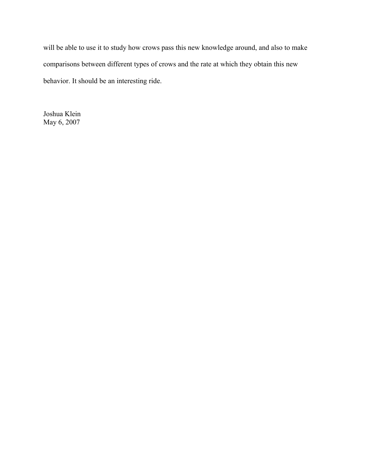will be able to use it to study how crows pass this new knowledge around, and also to make comparisons between different types of crows and the rate at which they obtain this new behavior. It should be an interesting ride.

Joshua Klein May 6, 2007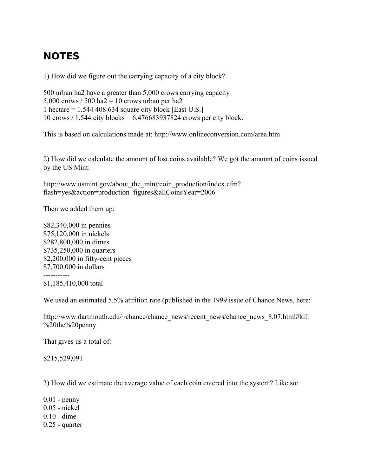# <span id="page-38-0"></span>**NOTES**

1) How did we figure out the carrying capacity of a city block?

500 urban ha2 have a greater than 5,000 crows carrying capacity 5,000 crows  $/ 500$  ha2 = 10 crows urban per ha2 1 hectare  $= 1.544 408 634$  square city block [East U.S.] 10 crows / 1.544 city blocks = 6.476683937824 crows per city block.

This is based on calculations made at: http://www.onlineconversion.com/area.htm

2) How did we calculate the amount of lost coins available? We got the amount of coins issued by the US Mint:

http://www.usmint.gov/about\_the\_mint/coin\_production/index.cfm? flash=yes&action=production\_figures&allCoinsYear=2006

Then we added them up:

\$82,340,000 in pennies \$75,120,000 in nickels \$282,800,000 in dimes \$735,250,000 in quarters \$2,200,000 in fifty-cent pieces \$7,700,000 in dollars -----------

\$1,185,410,000 total

We used an estimated 5.5% attrition rate (published in the 1999 issue of Chance News, here:

http://www.dartmouth.edu/~chance/chance\_news/recent\_news/chance\_news\_8.07.html#kill %20the%20penny

That gives us a total of:

\$215,529,091

3) How did we estimate the average value of each coin entered into the system? Like so:

0.01 - penny 0.05 - nickel 0.10 - dime 0.25 - quarter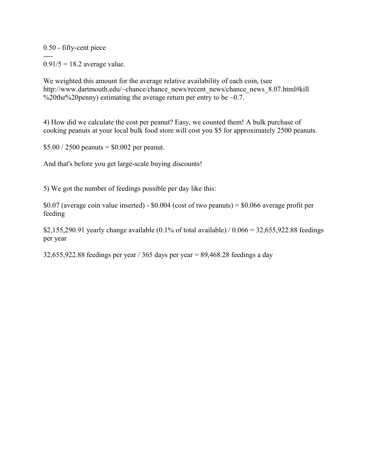0.50 - fifty-cent piece ----  $0.91/5 = 18.2$  average value.

We weighted this amount for the average relative availability of each coin, (see http://www.dartmouth.edu/~chance/chance\_news/recent\_news/chance\_news\_8.07.html#kill %20the%20penny) estimating the average return per entry to be  $\sim 0.7$ .

4) How did we calculate the cost per peanut? Easy, we counted them! A bulk purchase of cooking peanuts at your local bulk food store will cost you \$5 for approximately 2500 peanuts.

 $$5.00 / 2500$  peanuts = \$0.002 per peanut.

And that's before you get large-scale buying discounts!

5) We got the number of feedings possible per day like this:

 $$0.07$  (average coin value inserted) -  $$0.004$  (cost of two peanuts) =  $$0.066$  average profit per feeding

\$2,155,290.91 yearly change available (0.1% of total available) / 0.066 = 32,655,922.88 feedings per year

32,655,922.88 feedings per year / 365 days per year = 89,468.28 feedings a day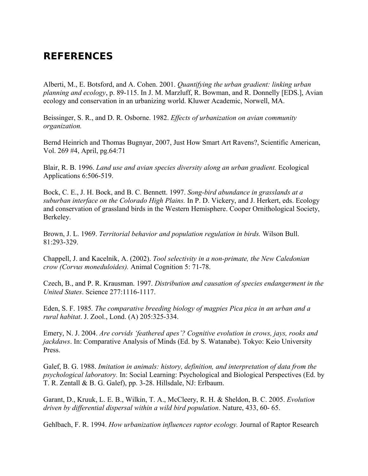# <span id="page-40-0"></span>**REFERENCES**

Alberti, M., E. Botsford, and A. Cohen. 2001. *Quantifying the urban gradient: linking urban planning and ecology*, p. 89-115. In J. M. Marzluff, R. Bowman, and R. Donnelly [EDS.], Avian ecology and conservation in an urbanizing world. Kluwer Academic, Norwell, MA.

Beissinger, S. R., and D. R. Osborne. 1982. *Effects of urbanization on avian community organization.* 

Bernd Heinrich and Thomas Bugnyar, 2007, Just How Smart Art Ravens?, Scientific American, Vol. 269 #4, April, pg.64:71

Blair, R. B. 1996. *Land use and avian species diversity along an urban gradient.* Ecological Applications 6:506-519.

Bock, C. E., J. H. Bock, and B. C. Bennett. 1997. *Song-bird abundance in grasslands at a suburban interface on the Colorado High Plains.* In P. D. Vickery, and J. Herkert, eds. Ecology and conservation of grassland birds in the Western Hemisphere. Cooper Ornithological Society, Berkeley.

Brown, J. L. 1969. *Territorial behavior and population regulation in birds.* Wilson Bull. 81:293-329.

Chappell, J. and Kacelnik, A. (2002). *Tool selectivity in a non-primate, the New Caledonian crow (Corvus moneduloides).* Animal Cognition 5: 71-78.

Czech, B., and P. R. Krausman. 1997. *Distribution and causation of species endangerment in the United States*. Science 277:1116-1117.

Eden, S. F. 1985*. The comparative breeding biology of magpies Pica pica in an urban and a rural habitat*. J. Zool., Lond. (A) 205:325-334.

Emery, N. J. 2004. *Are corvids 'feathered apes'? Cognitive evolution in crows, jays, rooks and jackdaws*. In: Comparative Analysis of Minds (Ed. by S. Watanabe). Tokyo: Keio University Press.

Galef, B. G. 1988. *Imitation in animals: history, definition, and interpretation of data from the psychological laboratory.* In: Social Learning: Psychological and Biological Perspectives (Ed. by T. R. Zentall & B. G. Galef), pp. 3-28. Hillsdale, NJ: Erlbaum.

Garant, D., Kruuk, L. E. B., Wilkin, T. A., McCleery, R. H. & Sheldon, B. C. 2005. *Evolution driven by differential dispersal within a wild bird population*. Nature, 433, 60- 65.

Gehlbach, F. R. 1994. *How urbanization influences raptor ecology.* Journal of Raptor Research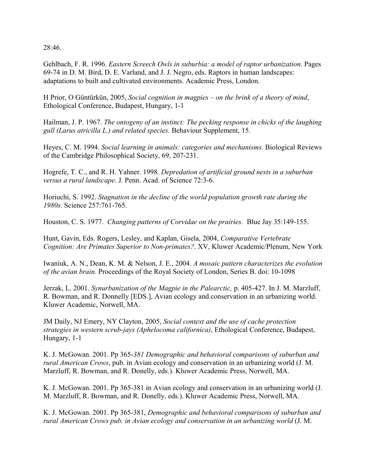28:46.

Gehlbach, F. R. 1996. *Eastern Screech Owls in suburbia: a model of raptor urbanization.* Pages 69-74 in D. M. Bird, D. E. Varland, and J. J. Negro, eds. Raptors in human landscapes: adaptations to built and cultivated environments. Academic Press, London.

H Prior, O Güntürkün, 2005, *Social cognition in magpies – on the brink of a theory of mind*, Ethological Conference, Budapest, Hungary, 1-1

Hailman, J. P. 1967. *The ontogeny of an instinct: The pecking response in chicks of the laughing gull (Larus atricilla L.) and related species.* Behaviour Supplement, 15.

Heyes, C. M. 1994. *Social learning in animals: categories and mechanisms*. Biological Reviews of the Cambridge Philosophical Society, 69, 207-231.

Hogrefe, T. C., and R. H. Yahner. 1998*. Depredation of artificial ground nests in a suburban versus a rural landscape*. J. Penn. Acad. of Science 72:3-6.

Horiuchi, S. 1992. *Stagnation in the decline of the world population growth rate during the 1980s*. Science 257:761-765.

Houston, C. S. 1977. *Changing patterns of Corvidae on the prairies.* Blue Jay 35:149-155.

Hunt, Gavin, Eds. Rogers, Lesley, and Kaplan, Gisela, 2004, *Comparative Vertebrate Cognition: Are Primates Superior to Non-primates?*. XV, Kluwer Academic/Plenum, New York

Iwaniuk, A. N., Dean, K. M. & Nelson, J. E., 2004. *A mosaic pattern characterizes the evolution of the avian brain.* Proceedings of the Royal Society of London, Series B. doi: 10-1098

Jerzak, L. 2001. *Synurbanization of the Magpie in the Palearctic,* p. 405-427. In J. M. Marzluff, R. Bowman, and R. Donnelly [EDS.], Avian ecology and conservation in an urbanizing world. Kluwer Academic, Norwell, MA.

JM Daily, NJ Emery, NY Clayton, 2005, *Social context and the use of cache protection strategies in western scrub-jays (Aphelocoma californica)*, Ethological Conference, Budapest, Hungary, 1-1

K. J. McGowan. 2001. Pp 365-*381 Demographic and behavioral comparisons of suburban and rural American Crows*, pub. in Avian ecology and conservation in an urbanizing world (J. M. Marzluff, R. Bowman, and R. Donelly, eds.). Kluwer Academic Press, Norwell, MA.

K. J. McGowan. 2001. Pp 365-381 in Avian ecology and conservation in an urbanizing world (J. M. Marzluff, R. Bowman, and R. Donelly, eds.). Kluwer Academic Press, Norwell, MA.

K. J. McGowan. 2001. Pp 365-381, *Demographic and behavioral comparisons of suburban and rural American Crows pub. in Avian ecology and conservation in an urbanizing world* (J. M.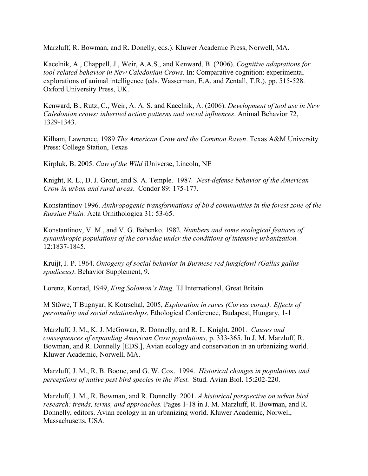Marzluff, R. Bowman, and R. Donelly, eds.). Kluwer Academic Press, Norwell, MA.

Kacelnik, A., Chappell, J., Weir, A.A.S., and Kenward, B. (2006). *Cognitive adaptations for tool-related behavior in New Caledonian Crows.* In: Comparative cognition: experimental explorations of animal intelligence (eds. Wasserman, E.A. and Zentall, T.R.), pp. 515-528. Oxford University Press, UK.

Kenward, B., Rutz, C., Weir, A. A. S. and Kacelnik, A. (2006). *Development of tool use in New Caledonian crows: inherited action patterns and social influences*. Animal Behavior 72, 1329-1343.

Kilham, Lawrence, 1989 *The American Crow and the Common Raven*. Texas A&M University Press: College Station, Texas

Kirpluk, B. 2005. *Caw of the Wild* iUniverse, Lincoln, NE

Knight, R. L., D. J. Grout, and S. A. Temple. 1987*. Nest-defense behavior of the American Crow in urban and rural areas*. Condor 89: 175-177.

Konstantinov 1996. *Anthropogenic transformations of bird communities in the forest zone of the Russian Plain.* Acta Ornithologica 31: 53-65.

Konstantinov, V. M., and V. G. Babenko. 1982. *Numbers and some ecological features of synanthropic populations of the corvidae under the conditions of intensive urbanization.* 12:1837-1845.

Kruijt, J. P. 1964. *Ontogeny of social behavior in Burmese red junglefowl (Gallus gallus spadiceus)*. Behavior Supplement, 9.

Lorenz, Konrad, 1949, *King Solomon's Ring*. TJ International, Great Britain

M Stöwe, T Bugnyar, K Kotrschal, 2005, *Exploration in raves (Corvus corax): Effects of personality and social relationships*, Ethological Conference, Budapest, Hungary, 1-1

Marzluff, J. M., K. J. McGowan, R. Donnelly, and R. L. Knight. 2001*. Causes and consequences of expanding American Crow populations,* p. 333-365. In J. M. Marzluff, R. Bowman, and R. Donnelly [EDS.], Avian ecology and conservation in an urbanizing world. Kluwer Academic, Norwell, MA.

Marzluff, J. M., R. B. Boone, and G. W. Cox. 1994. *Historical changes in populations and perceptions of native pest bird species in the West.* Stud. Avian Biol. 15:202-220.

Marzluff, J. M., R. Bowman, and R. Donnelly. 2001. *A historical perspective on urban bird research: trends, terms, and approaches.* Pages 1-18 in J. M. Marzluff, R. Bowman, and R. Donnelly, editors. Avian ecology in an urbanizing world. Kluwer Academic, Norwell, Massachusetts, USA.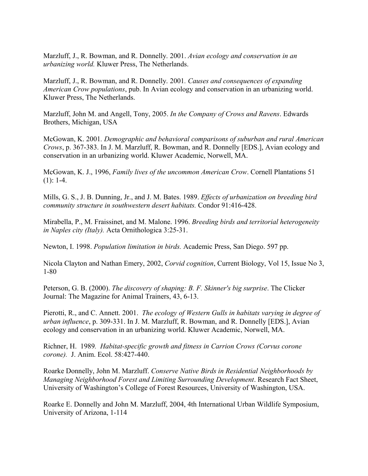Marzluff, J., R. Bowman, and R. Donnelly. 2001. *Avian ecology and conservation in an urbanizing world.* Kluwer Press, The Netherlands.

Marzluff, J., R. Bowman, and R. Donnelly. 2001*. Causes and consequences of expanding American Crow populations*, pub. In Avian ecology and conservation in an urbanizing world. Kluwer Press, The Netherlands.

Marzluff, John M. and Angell, Tony, 2005. *In the Company of Crows and Ravens*. Edwards Brothers, Michigan, USA

McGowan, K. 2001*. Demographic and behavioral comparisons of suburban and rural American Crows*, p. 367-383. In J. M. Marzluff, R. Bowman, and R. Donnelly [EDS.], Avian ecology and conservation in an urbanizing world. Kluwer Academic, Norwell, MA.

McGowan, K. J., 1996, *Family lives of the uncommon American Crow*. Cornell Plantations 51  $(1): 1-4.$ 

Mills, G. S., J. B. Dunning, Jr., and J. M. Bates. 1989. *Effects of urbanization on breeding bird community structure in southwestern desert habitats.* Condor 91:416-428.

Mirabella, P., M. Fraissinet, and M. Malone. 1996. *Breeding birds and territorial heterogeneity in Naples city (Italy).* Acta Ornithologica 3:25-31.

Newton, I. 1998. *Population limitation in birds.* Academic Press, San Diego. 597 pp.

Nicola Clayton and Nathan Emery, 2002, *Corvid cognition*, Current Biology, Vol 15, Issue No 3, 1-80

Peterson, G. B. (2000). *The discovery of shaping: B. F. Skinner's big surprise*. The Clicker Journal: The Magazine for Animal Trainers, 43, 6-13.

Pierotti, R., and C. Annett. 2001. *The ecology of Western Gulls in habitats varying in degree of urban influence*, p. 309-331. In J. M. Marzluff, R. Bowman, and R. Donnelly [EDS.], Avian ecology and conservation in an urbanizing world. Kluwer Academic, Norwell, MA.

Richner, H. 1989*. Habitat-specific growth and fitness in Carrion Crows (Corvus corone corone).* J. Anim. Ecol. 58:427-440.

Roarke Donnelly, John M. Marzluff. *Conserve Native Birds in Residential Neighborhoods by Managing Neighborhood Forest and Limiting Surrounding Development*. Research Fact Sheet, University of Washington's College of Forest Resources, University of Washington, USA.

Roarke E. Donnelly and John M. Marzluff, 2004, 4th International Urban Wildlife Symposium, University of Arizona, 1-114